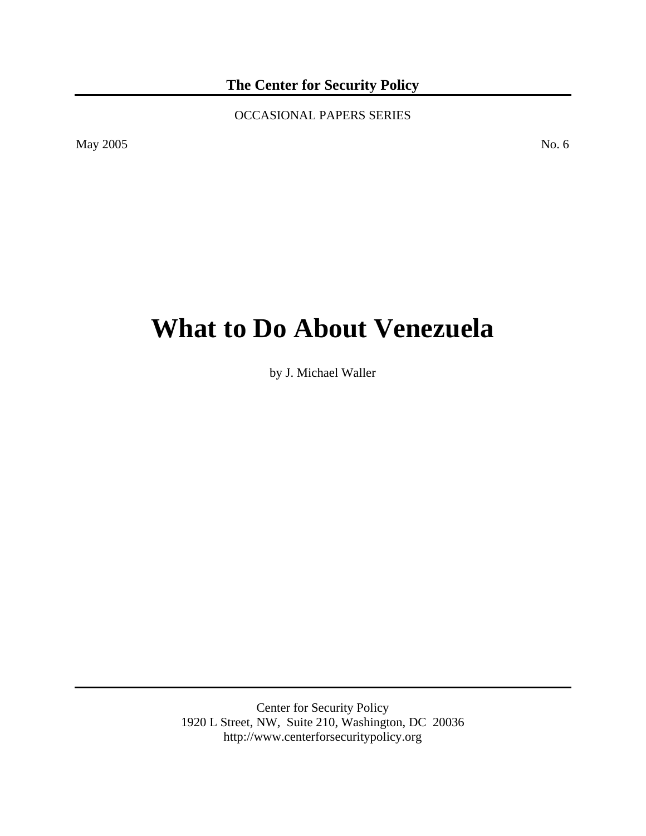**The Center for Security Policy** 

OCCASIONAL PAPERS SERIES

May 2005 No. 6

# **What to Do About Venezuela**

by J. Michael Waller

Center for Security Policy 1920 L Street, NW, Suite 210, Washington, DC 20036 http://www.centerforsecuritypolicy.org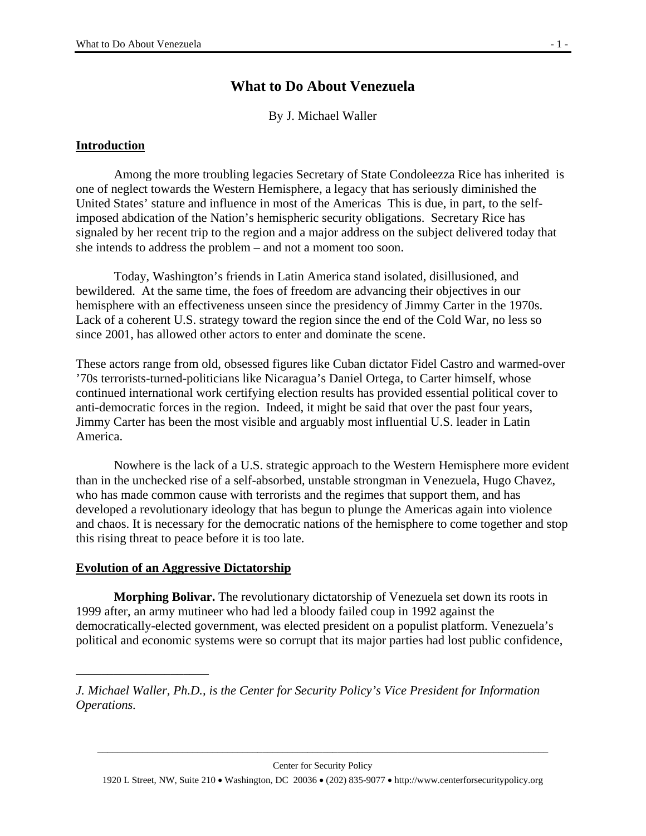# **What to Do About Venezuela**

By J. Michael Waller

#### **Introduction**

 Among the more troubling legacies Secretary of State Condoleezza Rice has inherited is one of neglect towards the Western Hemisphere, a legacy that has seriously diminished the United States' stature and influence in most of the Americas This is due, in part, to the selfimposed abdication of the Nation's hemispheric security obligations. Secretary Rice has signaled by her recent trip to the region and a major address on the subject delivered today that she intends to address the problem – and not a moment too soon.

 Today, Washington's friends in Latin America stand isolated, disillusioned, and bewildered. At the same time, the foes of freedom are advancing their objectives in our hemisphere with an effectiveness unseen since the presidency of Jimmy Carter in the 1970s. Lack of a coherent U.S. strategy toward the region since the end of the Cold War, no less so since 2001, has allowed other actors to enter and dominate the scene.

These actors range from old, obsessed figures like Cuban dictator Fidel Castro and warmed-over '70s terrorists-turned-politicians like Nicaragua's Daniel Ortega, to Carter himself, whose continued international work certifying election results has provided essential political cover to anti-democratic forces in the region. Indeed, it might be said that over the past four years, Jimmy Carter has been the most visible and arguably most influential U.S. leader in Latin America.

 Nowhere is the lack of a U.S. strategic approach to the Western Hemisphere more evident than in the unchecked rise of a self-absorbed, unstable strongman in Venezuela, Hugo Chavez, who has made common cause with terrorists and the regimes that support them, and has developed a revolutionary ideology that has begun to plunge the Americas again into violence and chaos. It is necessary for the democratic nations of the hemisphere to come together and stop this rising threat to peace before it is too late.

#### **Evolution of an Aggressive Dictatorship**

\_\_\_\_\_\_\_\_\_\_\_\_\_\_\_\_\_\_\_\_\_

**Morphing Bolivar.** The revolutionary dictatorship of Venezuela set down its roots in 1999 after, an army mutineer who had led a bloody failed coup in 1992 against the democratically-elected government, was elected president on a populist platform. Venezuela's political and economic systems were so corrupt that its major parties had lost public confidence,

1920 L Street, NW, Suite 210 • Washington, DC 20036 • (202) 835-9077 • http://www.centerforsecuritypolicy.org

*J. Michael Waller, Ph.D., is the Center for Security Policy's Vice President for Information Operations.*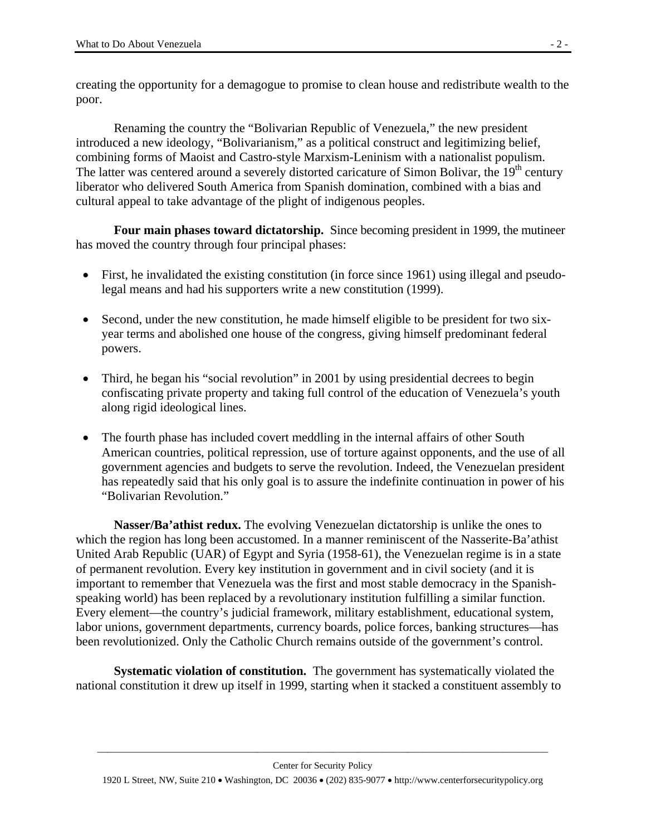creating the opportunity for a demagogue to promise to clean house and redistribute wealth to the poor.

Renaming the country the "Bolivarian Republic of Venezuela," the new president introduced a new ideology, "Bolivarianism," as a political construct and legitimizing belief, combining forms of Maoist and Castro-style Marxism-Leninism with a nationalist populism. The latter was centered around a severely distorted caricature of Simon Bolivar, the  $19<sup>th</sup>$  century liberator who delivered South America from Spanish domination, combined with a bias and cultural appeal to take advantage of the plight of indigenous peoples.

**Four main phases toward dictatorship.** Since becoming president in 1999, the mutineer has moved the country through four principal phases:

- First, he invalidated the existing constitution (in force since 1961) using illegal and pseudolegal means and had his supporters write a new constitution (1999).
- Second, under the new constitution, he made himself eligible to be president for two sixyear terms and abolished one house of the congress, giving himself predominant federal powers.
- Third, he began his "social revolution" in 2001 by using presidential decrees to begin confiscating private property and taking full control of the education of Venezuela's youth along rigid ideological lines.
- The fourth phase has included covert meddling in the internal affairs of other South American countries, political repression, use of torture against opponents, and the use of all government agencies and budgets to serve the revolution. Indeed, the Venezuelan president has repeatedly said that his only goal is to assure the indefinite continuation in power of his "Bolivarian Revolution."

**Nasser/Ba'athist redux.** The evolving Venezuelan dictatorship is unlike the ones to which the region has long been accustomed. In a manner reminiscent of the Nasserite-Ba'athist United Arab Republic (UAR) of Egypt and Syria (1958-61), the Venezuelan regime is in a state of permanent revolution. Every key institution in government and in civil society (and it is important to remember that Venezuela was the first and most stable democracy in the Spanishspeaking world) has been replaced by a revolutionary institution fulfilling a similar function. Every element—the country's judicial framework, military establishment, educational system, labor unions, government departments, currency boards, police forces, banking structures—has been revolutionized. Only the Catholic Church remains outside of the government's control.

**Systematic violation of constitution.** The government has systematically violated the national constitution it drew up itself in 1999, starting when it stacked a constituent assembly to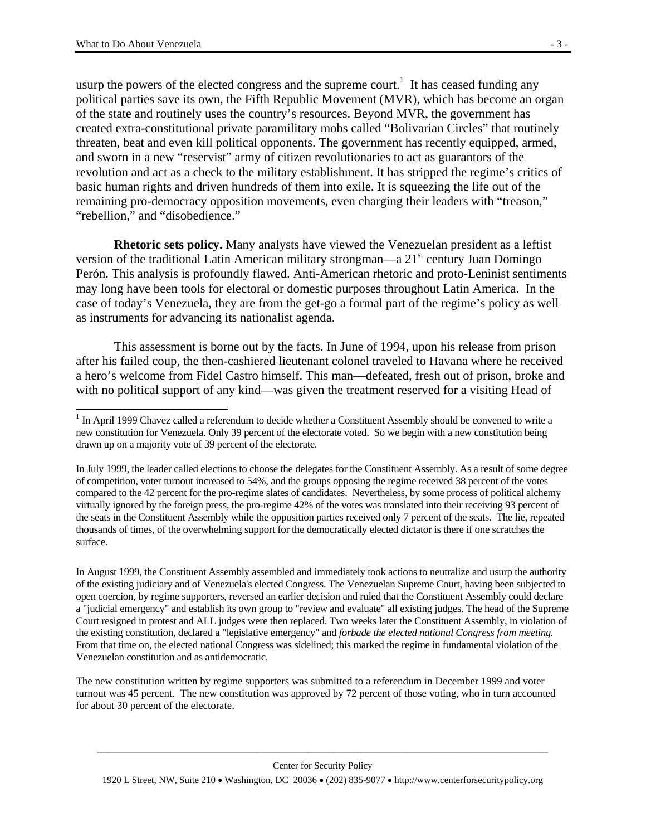$\overline{a}$ 

usurp the powers of the elected congress and the supreme court.<sup>1</sup> It has ceased funding any political parties save its own, the Fifth Republic Movement (MVR), which has become an organ of the state and routinely uses the country's resources. Beyond MVR, the government has created extra-constitutional private paramilitary mobs called "Bolivarian Circles" that routinely threaten, beat and even kill political opponents. The government has recently equipped, armed, and sworn in a new "reservist" army of citizen revolutionaries to act as guarantors of the revolution and act as a check to the military establishment. It has stripped the regime's critics of basic human rights and driven hundreds of them into exile. It is squeezing the life out of the remaining pro-democracy opposition movements, even charging their leaders with "treason," "rebellion," and "disobedience."

**Rhetoric sets policy.** Many analysts have viewed the Venezuelan president as a leftist version of the traditional Latin American military strongman—a  $21<sup>st</sup>$  century Juan Domingo Perón. This analysis is profoundly flawed. Anti-American rhetoric and proto-Leninist sentiments may long have been tools for electoral or domestic purposes throughout Latin America. In the case of today's Venezuela, they are from the get-go a formal part of the regime's policy as well as instruments for advancing its nationalist agenda.

This assessment is borne out by the facts. In June of 1994, upon his release from prison after his failed coup, the then-cashiered lieutenant colonel traveled to Havana where he received a hero's welcome from Fidel Castro himself. This man—defeated, fresh out of prison, broke and with no political support of any kind—was given the treatment reserved for a visiting Head of

The new constitution written by regime supporters was submitted to a referendum in December 1999 and voter turnout was 45 percent. The new constitution was approved by 72 percent of those voting, who in turn accounted for about 30 percent of the electorate.

 $1$  In April 1999 Chavez called a referendum to decide whether a Constituent Assembly should be convened to write a new constitution for Venezuela. Only 39 percent of the electorate voted. So we begin with a new constitution being drawn up on a majority vote of 39 percent of the electorate.

In July 1999, the leader called elections to choose the delegates for the Constituent Assembly. As a result of some degree of competition, voter turnout increased to 54%, and the groups opposing the regime received 38 percent of the votes compared to the 42 percent for the pro-regime slates of candidates. Nevertheless, by some process of political alchemy virtually ignored by the foreign press, the pro-regime 42% of the votes was translated into their receiving 93 percent of the seats in the Constituent Assembly while the opposition parties received only 7 percent of the seats. The lie, repeated thousands of times, of the overwhelming support for the democratically elected dictator is there if one scratches the surface.

In August 1999, the Constituent Assembly assembled and immediately took actions to neutralize and usurp the authority of the existing judiciary and of Venezuela's elected Congress. The Venezuelan Supreme Court, having been subjected to open coercion, by regime supporters, reversed an earlier decision and ruled that the Constituent Assembly could declare a "judicial emergency" and establish its own group to "review and evaluate" all existing judges. The head of the Supreme Court resigned in protest and ALL judges were then replaced. Two weeks later the Constituent Assembly, in violation of the existing constitution, declared a "legislative emergency" and *forbade the elected national Congress from meeting.* From that time on, the elected national Congress was sidelined; this marked the regime in fundamental violation of the Venezuelan constitution and as antidemocratic.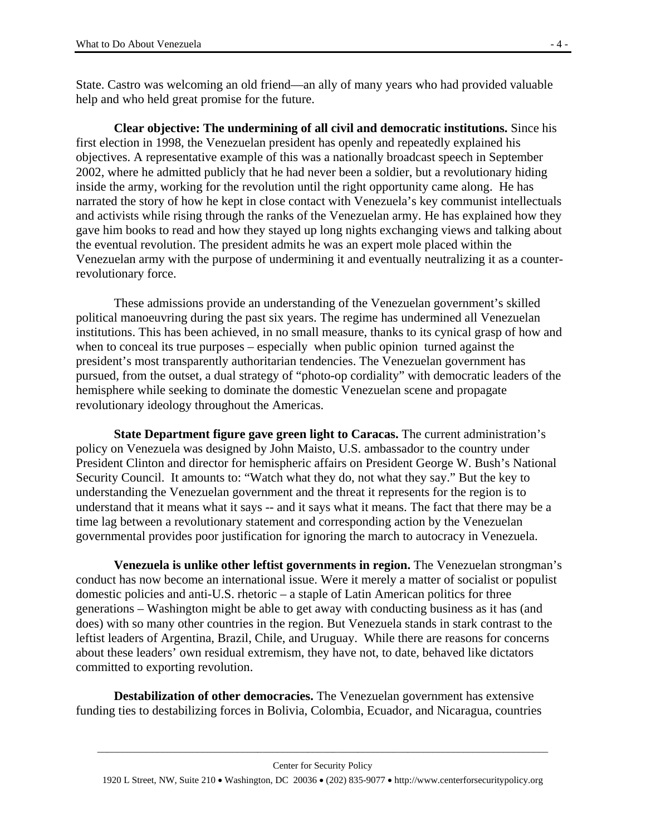State. Castro was welcoming an old friend—an ally of many years who had provided valuable help and who held great promise for the future.

**Clear objective: The undermining of all civil and democratic institutions.** Since his first election in 1998, the Venezuelan president has openly and repeatedly explained his objectives. A representative example of this was a nationally broadcast speech in September 2002, where he admitted publicly that he had never been a soldier, but a revolutionary hiding inside the army, working for the revolution until the right opportunity came along. He has narrated the story of how he kept in close contact with Venezuela's key communist intellectuals and activists while rising through the ranks of the Venezuelan army. He has explained how they gave him books to read and how they stayed up long nights exchanging views and talking about the eventual revolution. The president admits he was an expert mole placed within the Venezuelan army with the purpose of undermining it and eventually neutralizing it as a counterrevolutionary force.

These admissions provide an understanding of the Venezuelan government's skilled political manoeuvring during the past six years. The regime has undermined all Venezuelan institutions. This has been achieved, in no small measure, thanks to its cynical grasp of how and when to conceal its true purposes – especially when public opinion turned against the president's most transparently authoritarian tendencies. The Venezuelan government has pursued, from the outset, a dual strategy of "photo-op cordiality" with democratic leaders of the hemisphere while seeking to dominate the domestic Venezuelan scene and propagate revolutionary ideology throughout the Americas.

**State Department figure gave green light to Caracas.** The current administration's policy on Venezuela was designed by John Maisto, U.S. ambassador to the country under President Clinton and director for hemispheric affairs on President George W. Bush's National Security Council. It amounts to: "Watch what they do, not what they say." But the key to understanding the Venezuelan government and the threat it represents for the region is to understand that it means what it says -- and it says what it means. The fact that there may be a time lag between a revolutionary statement and corresponding action by the Venezuelan governmental provides poor justification for ignoring the march to autocracy in Venezuela.

**Venezuela is unlike other leftist governments in region.** The Venezuelan strongman's conduct has now become an international issue. Were it merely a matter of socialist or populist domestic policies and anti-U.S. rhetoric – a staple of Latin American politics for three generations – Washington might be able to get away with conducting business as it has (and does) with so many other countries in the region. But Venezuela stands in stark contrast to the leftist leaders of Argentina, Brazil, Chile, and Uruguay. While there are reasons for concerns about these leaders' own residual extremism, they have not, to date, behaved like dictators committed to exporting revolution.

**Destabilization of other democracies.** The Venezuelan government has extensive funding ties to destabilizing forces in Bolivia, Colombia, Ecuador, and Nicaragua, countries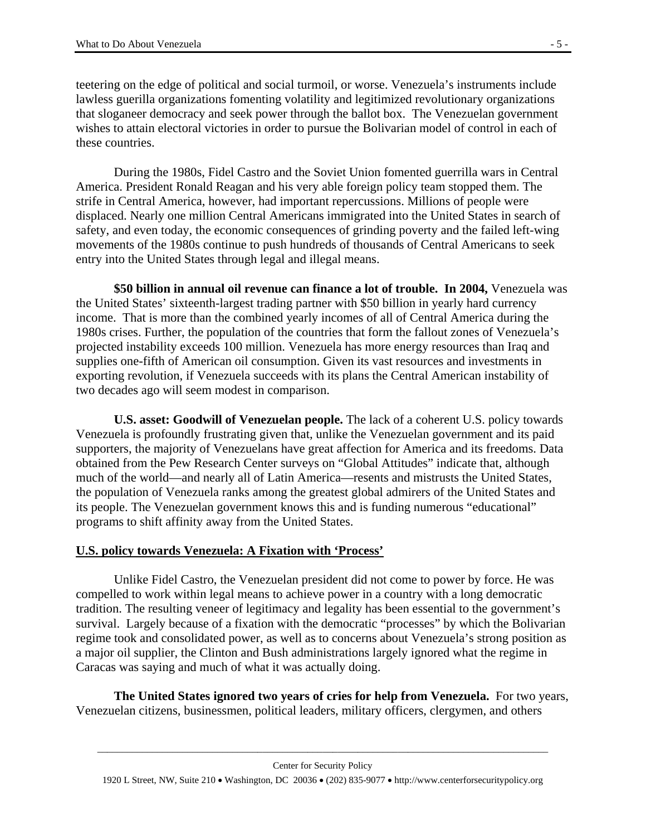teetering on the edge of political and social turmoil, or worse. Venezuela's instruments include lawless guerilla organizations fomenting volatility and legitimized revolutionary organizations that sloganeer democracy and seek power through the ballot box. The Venezuelan government wishes to attain electoral victories in order to pursue the Bolivarian model of control in each of these countries.

During the 1980s, Fidel Castro and the Soviet Union fomented guerrilla wars in Central America. President Ronald Reagan and his very able foreign policy team stopped them. The strife in Central America, however, had important repercussions. Millions of people were displaced. Nearly one million Central Americans immigrated into the United States in search of safety, and even today, the economic consequences of grinding poverty and the failed left-wing movements of the 1980s continue to push hundreds of thousands of Central Americans to seek entry into the United States through legal and illegal means.

**\$50 billion in annual oil revenue can finance a lot of trouble. In 2004,** Venezuela was the United States' sixteenth-largest trading partner with \$50 billion in yearly hard currency income. That is more than the combined yearly incomes of all of Central America during the 1980s crises. Further, the population of the countries that form the fallout zones of Venezuela's projected instability exceeds 100 million. Venezuela has more energy resources than Iraq and supplies one-fifth of American oil consumption. Given its vast resources and investments in exporting revolution, if Venezuela succeeds with its plans the Central American instability of two decades ago will seem modest in comparison.

**U.S. asset: Goodwill of Venezuelan people.** The lack of a coherent U.S. policy towards Venezuela is profoundly frustrating given that, unlike the Venezuelan government and its paid supporters, the majority of Venezuelans have great affection for America and its freedoms. Data obtained from the Pew Research Center surveys on "Global Attitudes" indicate that, although much of the world—and nearly all of Latin America—resents and mistrusts the United States, the population of Venezuela ranks among the greatest global admirers of the United States and its people. The Venezuelan government knows this and is funding numerous "educational" programs to shift affinity away from the United States.

## **U.S. policy towards Venezuela: A Fixation with 'Process'**

Unlike Fidel Castro, the Venezuelan president did not come to power by force. He was compelled to work within legal means to achieve power in a country with a long democratic tradition. The resulting veneer of legitimacy and legality has been essential to the government's survival. Largely because of a fixation with the democratic "processes" by which the Bolivarian regime took and consolidated power, as well as to concerns about Venezuela's strong position as a major oil supplier, the Clinton and Bush administrations largely ignored what the regime in Caracas was saying and much of what it was actually doing.

**The United States ignored two years of cries for help from Venezuela.** For two years, Venezuelan citizens, businessmen, political leaders, military officers, clergymen, and others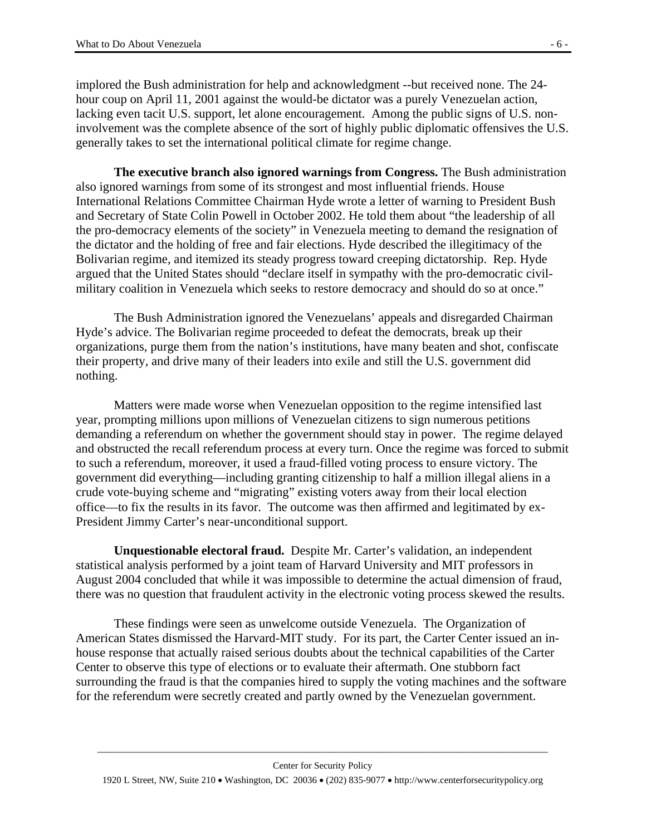implored the Bush administration for help and acknowledgment --but received none. The 24 hour coup on April 11, 2001 against the would-be dictator was a purely Venezuelan action, lacking even tacit U.S. support, let alone encouragement. Among the public signs of U.S. noninvolvement was the complete absence of the sort of highly public diplomatic offensives the U.S. generally takes to set the international political climate for regime change.

 **The executive branch also ignored warnings from Congress.** The Bush administration also ignored warnings from some of its strongest and most influential friends. House International Relations Committee Chairman Hyde wrote a letter of warning to President Bush and Secretary of State Colin Powell in October 2002. He told them about "the leadership of all the pro-democracy elements of the society" in Venezuela meeting to demand the resignation of the dictator and the holding of free and fair elections. Hyde described the illegitimacy of the Bolivarian regime, and itemized its steady progress toward creeping dictatorship. Rep. Hyde argued that the United States should "declare itself in sympathy with the pro-democratic civilmilitary coalition in Venezuela which seeks to restore democracy and should do so at once."

The Bush Administration ignored the Venezuelans' appeals and disregarded Chairman Hyde's advice. The Bolivarian regime proceeded to defeat the democrats, break up their organizations, purge them from the nation's institutions, have many beaten and shot, confiscate their property, and drive many of their leaders into exile and still the U.S. government did nothing.

Matters were made worse when Venezuelan opposition to the regime intensified last year, prompting millions upon millions of Venezuelan citizens to sign numerous petitions demanding a referendum on whether the government should stay in power. The regime delayed and obstructed the recall referendum process at every turn. Once the regime was forced to submit to such a referendum, moreover, it used a fraud-filled voting process to ensure victory. The government did everything—including granting citizenship to half a million illegal aliens in a crude vote-buying scheme and "migrating" existing voters away from their local election office—to fix the results in its favor. The outcome was then affirmed and legitimated by ex-President Jimmy Carter's near-unconditional support.

**Unquestionable electoral fraud.** Despite Mr. Carter's validation, an independent statistical analysis performed by a joint team of Harvard University and MIT professors in August 2004 concluded that while it was impossible to determine the actual dimension of fraud, there was no question that fraudulent activity in the electronic voting process skewed the results.

These findings were seen as unwelcome outside Venezuela. The Organization of American States dismissed the Harvard-MIT study. For its part, the Carter Center issued an inhouse response that actually raised serious doubts about the technical capabilities of the Carter Center to observe this type of elections or to evaluate their aftermath. One stubborn fact surrounding the fraud is that the companies hired to supply the voting machines and the software for the referendum were secretly created and partly owned by the Venezuelan government.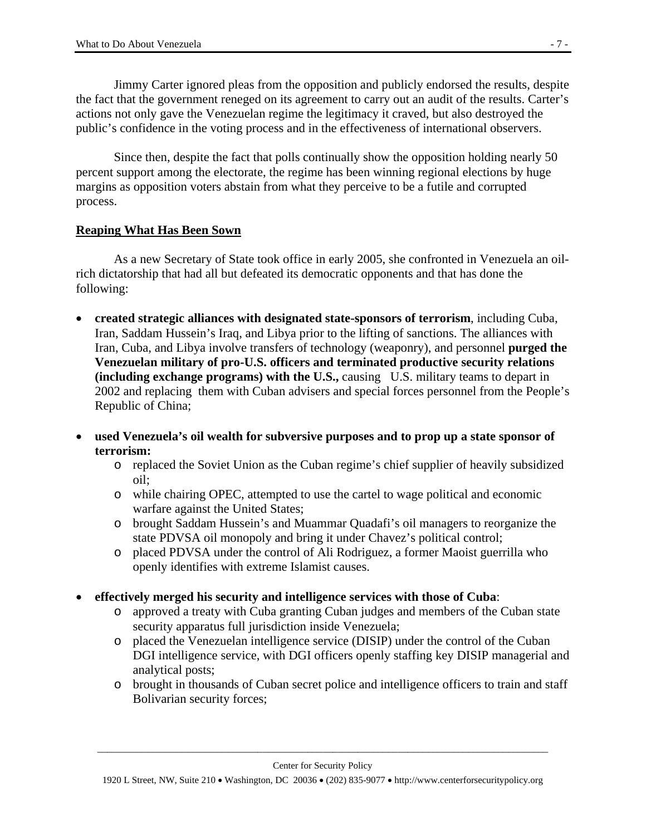Jimmy Carter ignored pleas from the opposition and publicly endorsed the results, despite the fact that the government reneged on its agreement to carry out an audit of the results. Carter's actions not only gave the Venezuelan regime the legitimacy it craved, but also destroyed the public's confidence in the voting process and in the effectiveness of international observers.

Since then, despite the fact that polls continually show the opposition holding nearly 50 percent support among the electorate, the regime has been winning regional elections by huge margins as opposition voters abstain from what they perceive to be a futile and corrupted process.

## **Reaping What Has Been Sown**

As a new Secretary of State took office in early 2005, she confronted in Venezuela an oilrich dictatorship that had all but defeated its democratic opponents and that has done the following:

- **created strategic alliances with designated state-sponsors of terrorism**, including Cuba, Iran, Saddam Hussein's Iraq, and Libya prior to the lifting of sanctions. The alliances with Iran, Cuba, and Libya involve transfers of technology (weaponry), and personnel **purged the Venezuelan military of pro-U.S. officers and terminated productive security relations (including exchange programs) with the U.S.,** causing U.S. military teams to depart in 2002 and replacing them with Cuban advisers and special forces personnel from the People's Republic of China;
- **used Venezuela's oil wealth for subversive purposes and to prop up a state sponsor of terrorism:**
	- o replaced the Soviet Union as the Cuban regime's chief supplier of heavily subsidized oil;
	- o while chairing OPEC, attempted to use the cartel to wage political and economic warfare against the United States;
	- o brought Saddam Hussein's and Muammar Quadafi's oil managers to reorganize the state PDVSA oil monopoly and bring it under Chavez's political control;
	- o placed PDVSA under the control of Ali Rodriguez, a former Maoist guerrilla who openly identifies with extreme Islamist causes.
- **effectively merged his security and intelligence services with those of Cuba**:
	- o approved a treaty with Cuba granting Cuban judges and members of the Cuban state security apparatus full jurisdiction inside Venezuela;
	- o placed the Venezuelan intelligence service (DISIP) under the control of the Cuban DGI intelligence service, with DGI officers openly staffing key DISIP managerial and analytical posts;
	- o brought in thousands of Cuban secret police and intelligence officers to train and staff Bolivarian security forces;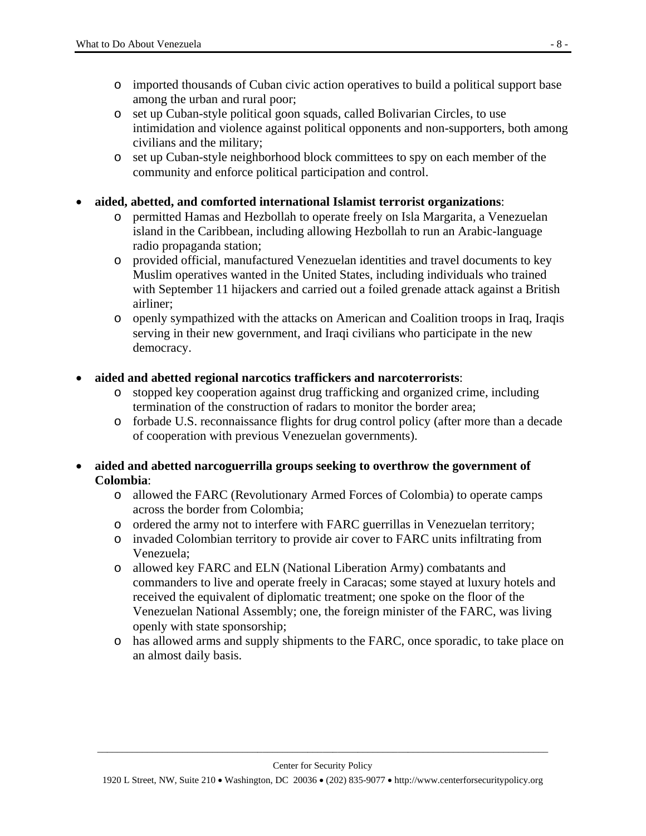- o imported thousands of Cuban civic action operatives to build a political support base among the urban and rural poor;
- o set up Cuban-style political goon squads, called Bolivarian Circles, to use intimidation and violence against political opponents and non-supporters, both among civilians and the military;
- o set up Cuban-style neighborhood block committees to spy on each member of the community and enforce political participation and control.
- **aided, abetted, and comforted international Islamist terrorist organizations**:
	- o permitted Hamas and Hezbollah to operate freely on Isla Margarita, a Venezuelan island in the Caribbean, including allowing Hezbollah to run an Arabic-language radio propaganda station;
	- o provided official, manufactured Venezuelan identities and travel documents to key Muslim operatives wanted in the United States, including individuals who trained with September 11 hijackers and carried out a foiled grenade attack against a British airliner;
	- o openly sympathized with the attacks on American and Coalition troops in Iraq, Iraqis serving in their new government, and Iraqi civilians who participate in the new democracy.
- **aided and abetted regional narcotics traffickers and narcoterrorists**:
	- o stopped key cooperation against drug trafficking and organized crime, including termination of the construction of radars to monitor the border area;
	- o forbade U.S. reconnaissance flights for drug control policy (after more than a decade of cooperation with previous Venezuelan governments).
- **aided and abetted narcoguerrilla groups seeking to overthrow the government of Colombia**:
	- o allowed the FARC (Revolutionary Armed Forces of Colombia) to operate camps across the border from Colombia;
	- o ordered the army not to interfere with FARC guerrillas in Venezuelan territory;
	- o invaded Colombian territory to provide air cover to FARC units infiltrating from Venezuela;
	- o allowed key FARC and ELN (National Liberation Army) combatants and commanders to live and operate freely in Caracas; some stayed at luxury hotels and received the equivalent of diplomatic treatment; one spoke on the floor of the Venezuelan National Assembly; one, the foreign minister of the FARC, was living openly with state sponsorship;
	- o has allowed arms and supply shipments to the FARC, once sporadic, to take place on an almost daily basis.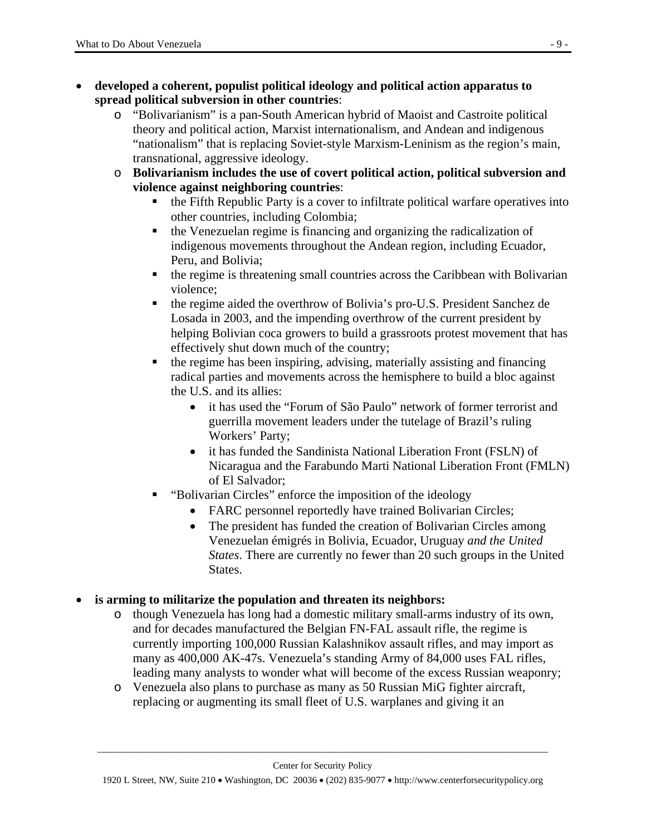- **developed a coherent, populist political ideology and political action apparatus to spread political subversion in other countries**:
	- o "Bolivarianism" is a pan-South American hybrid of Maoist and Castroite political theory and political action, Marxist internationalism, and Andean and indigenous "nationalism" that is replacing Soviet-style Marxism-Leninism as the region's main, transnational, aggressive ideology.
	- o **Bolivarianism includes the use of covert political action, political subversion and violence against neighboring countries**:
		- the Fifth Republic Party is a cover to infiltrate political warfare operatives into other countries, including Colombia;
		- the Venezuelan regime is financing and organizing the radicalization of indigenous movements throughout the Andean region, including Ecuador, Peru, and Bolivia;
		- the regime is threatening small countries across the Caribbean with Bolivarian violence;
		- the regime aided the overthrow of Bolivia's pro-U.S. President Sanchez de Losada in 2003, and the impending overthrow of the current president by helping Bolivian coca growers to build a grassroots protest movement that has effectively shut down much of the country;
		- $\blacksquare$  the regime has been inspiring, advising, materially assisting and financing radical parties and movements across the hemisphere to build a bloc against the U.S. and its allies:
			- it has used the "Forum of São Paulo" network of former terrorist and guerrilla movement leaders under the tutelage of Brazil's ruling Workers' Party;
			- it has funded the Sandinista National Liberation Front (FSLN) of Nicaragua and the Farabundo Marti National Liberation Front (FMLN) of El Salvador;
		- "Bolivarian Circles" enforce the imposition of the ideology
			- FARC personnel reportedly have trained Bolivarian Circles;
			- The president has funded the creation of Bolivarian Circles among Venezuelan émigrés in Bolivia, Ecuador, Uruguay *and the United States*. There are currently no fewer than 20 such groups in the United States.

## • **is arming to militarize the population and threaten its neighbors:**

- o though Venezuela has long had a domestic military small-arms industry of its own, and for decades manufactured the Belgian FN-FAL assault rifle, the regime is currently importing 100,000 Russian Kalashnikov assault rifles, and may import as many as 400,000 AK-47s. Venezuela's standing Army of 84,000 uses FAL rifles, leading many analysts to wonder what will become of the excess Russian weaponry;
- o Venezuela also plans to purchase as many as 50 Russian MiG fighter aircraft, replacing or augmenting its small fleet of U.S. warplanes and giving it an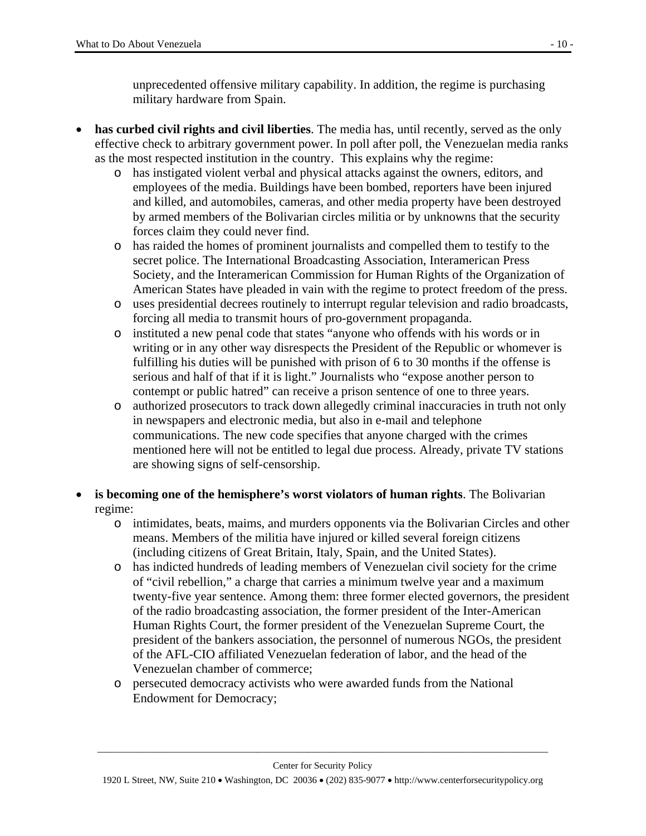unprecedented offensive military capability. In addition, the regime is purchasing military hardware from Spain.

- **has curbed civil rights and civil liberties**. The media has, until recently, served as the only effective check to arbitrary government power. In poll after poll, the Venezuelan media ranks as the most respected institution in the country. This explains why the regime:
	- o has instigated violent verbal and physical attacks against the owners, editors, and employees of the media. Buildings have been bombed, reporters have been injured and killed, and automobiles, cameras, and other media property have been destroyed by armed members of the Bolivarian circles militia or by unknowns that the security forces claim they could never find.
	- o has raided the homes of prominent journalists and compelled them to testify to the secret police. The International Broadcasting Association, Interamerican Press Society, and the Interamerican Commission for Human Rights of the Organization of American States have pleaded in vain with the regime to protect freedom of the press.
	- o uses presidential decrees routinely to interrupt regular television and radio broadcasts, forcing all media to transmit hours of pro-government propaganda.
	- o instituted a new penal code that states "anyone who offends with his words or in writing or in any other way disrespects the President of the Republic or whomever is fulfilling his duties will be punished with prison of 6 to 30 months if the offense is serious and half of that if it is light." Journalists who "expose another person to contempt or public hatred" can receive a prison sentence of one to three years.
	- o authorized prosecutors to track down allegedly criminal inaccuracies in truth not only in newspapers and electronic media, but also in e-mail and telephone communications. The new code specifies that anyone charged with the crimes mentioned here will not be entitled to legal due process. Already, private TV stations are showing signs of self-censorship.
- **is becoming one of the hemisphere's worst violators of human rights**. The Bolivarian regime:
	- o intimidates, beats, maims, and murders opponents via the Bolivarian Circles and other means. Members of the militia have injured or killed several foreign citizens (including citizens of Great Britain, Italy, Spain, and the United States).
	- o has indicted hundreds of leading members of Venezuelan civil society for the crime of "civil rebellion," a charge that carries a minimum twelve year and a maximum twenty-five year sentence. Among them: three former elected governors, the president of the radio broadcasting association, the former president of the Inter-American Human Rights Court, the former president of the Venezuelan Supreme Court, the president of the bankers association, the personnel of numerous NGOs, the president of the AFL-CIO affiliated Venezuelan federation of labor, and the head of the Venezuelan chamber of commerce;
	- o persecuted democracy activists who were awarded funds from the National Endowment for Democracy;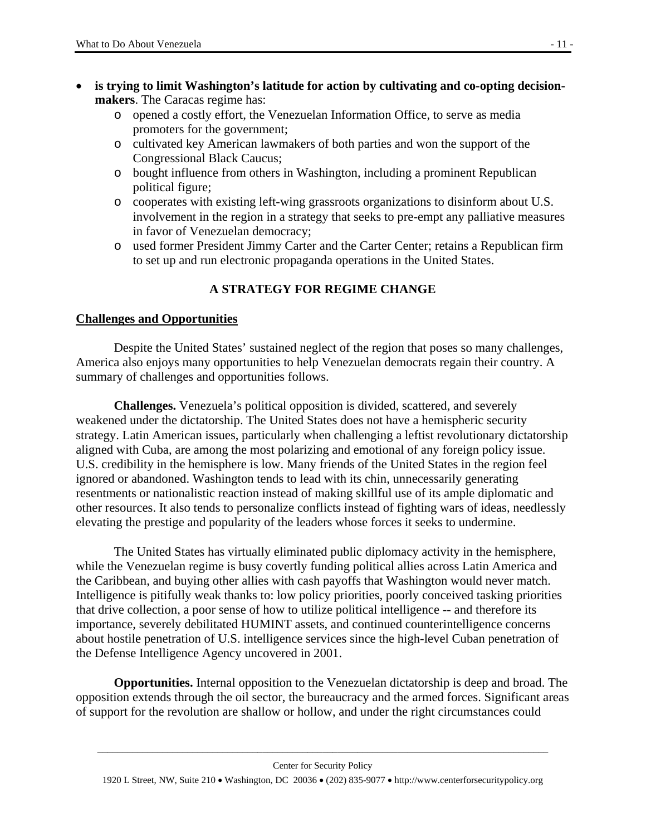- is trying to limit Washington's latitude for action by cultivating and co-opting decision**makers**. The Caracas regime has:
	- o opened a costly effort, the Venezuelan Information Office, to serve as media promoters for the government;
	- o cultivated key American lawmakers of both parties and won the support of the Congressional Black Caucus;
	- o bought influence from others in Washington, including a prominent Republican political figure;
	- o cooperates with existing left-wing grassroots organizations to disinform about U.S. involvement in the region in a strategy that seeks to pre-empt any palliative measures in favor of Venezuelan democracy;
	- o used former President Jimmy Carter and the Carter Center; retains a Republican firm to set up and run electronic propaganda operations in the United States.

# **A STRATEGY FOR REGIME CHANGE**

## **Challenges and Opportunities**

 Despite the United States' sustained neglect of the region that poses so many challenges, America also enjoys many opportunities to help Venezuelan democrats regain their country. A summary of challenges and opportunities follows.

**Challenges.** Venezuela's political opposition is divided, scattered, and severely weakened under the dictatorship. The United States does not have a hemispheric security strategy. Latin American issues, particularly when challenging a leftist revolutionary dictatorship aligned with Cuba, are among the most polarizing and emotional of any foreign policy issue. U.S. credibility in the hemisphere is low. Many friends of the United States in the region feel ignored or abandoned. Washington tends to lead with its chin, unnecessarily generating resentments or nationalistic reaction instead of making skillful use of its ample diplomatic and other resources. It also tends to personalize conflicts instead of fighting wars of ideas, needlessly elevating the prestige and popularity of the leaders whose forces it seeks to undermine.

The United States has virtually eliminated public diplomacy activity in the hemisphere, while the Venezuelan regime is busy covertly funding political allies across Latin America and the Caribbean, and buying other allies with cash payoffs that Washington would never match. Intelligence is pitifully weak thanks to: low policy priorities, poorly conceived tasking priorities that drive collection, a poor sense of how to utilize political intelligence -- and therefore its importance, severely debilitated HUMINT assets, and continued counterintelligence concerns about hostile penetration of U.S. intelligence services since the high-level Cuban penetration of the Defense Intelligence Agency uncovered in 2001.

**Opportunities.** Internal opposition to the Venezuelan dictatorship is deep and broad. The opposition extends through the oil sector, the bureaucracy and the armed forces. Significant areas of support for the revolution are shallow or hollow, and under the right circumstances could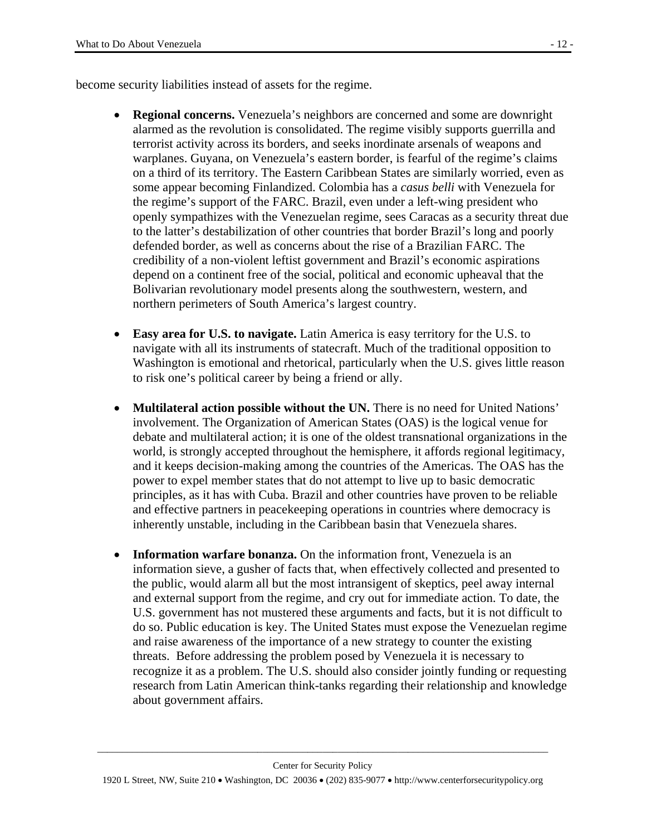become security liabilities instead of assets for the regime.

- **Regional concerns.** Venezuela's neighbors are concerned and some are downright alarmed as the revolution is consolidated. The regime visibly supports guerrilla and terrorist activity across its borders, and seeks inordinate arsenals of weapons and warplanes. Guyana, on Venezuela's eastern border, is fearful of the regime's claims on a third of its territory. The Eastern Caribbean States are similarly worried, even as some appear becoming Finlandized. Colombia has a *casus belli* with Venezuela for the regime's support of the FARC. Brazil, even under a left-wing president who openly sympathizes with the Venezuelan regime, sees Caracas as a security threat due to the latter's destabilization of other countries that border Brazil's long and poorly defended border, as well as concerns about the rise of a Brazilian FARC. The credibility of a non-violent leftist government and Brazil's economic aspirations depend on a continent free of the social, political and economic upheaval that the Bolivarian revolutionary model presents along the southwestern, western, and northern perimeters of South America's largest country.
- **Easy area for U.S. to navigate.** Latin America is easy territory for the U.S. to navigate with all its instruments of statecraft. Much of the traditional opposition to Washington is emotional and rhetorical, particularly when the U.S. gives little reason to risk one's political career by being a friend or ally.
- **Multilateral action possible without the UN.** There is no need for United Nations' involvement. The Organization of American States (OAS) is the logical venue for debate and multilateral action; it is one of the oldest transnational organizations in the world, is strongly accepted throughout the hemisphere, it affords regional legitimacy, and it keeps decision-making among the countries of the Americas. The OAS has the power to expel member states that do not attempt to live up to basic democratic principles, as it has with Cuba. Brazil and other countries have proven to be reliable and effective partners in peacekeeping operations in countries where democracy is inherently unstable, including in the Caribbean basin that Venezuela shares.
- **Information warfare bonanza.** On the information front, Venezuela is an information sieve, a gusher of facts that, when effectively collected and presented to the public, would alarm all but the most intransigent of skeptics, peel away internal and external support from the regime, and cry out for immediate action. To date, the U.S. government has not mustered these arguments and facts, but it is not difficult to do so. Public education is key. The United States must expose the Venezuelan regime and raise awareness of the importance of a new strategy to counter the existing threats. Before addressing the problem posed by Venezuela it is necessary to recognize it as a problem. The U.S. should also consider jointly funding or requesting research from Latin American think-tanks regarding their relationship and knowledge about government affairs.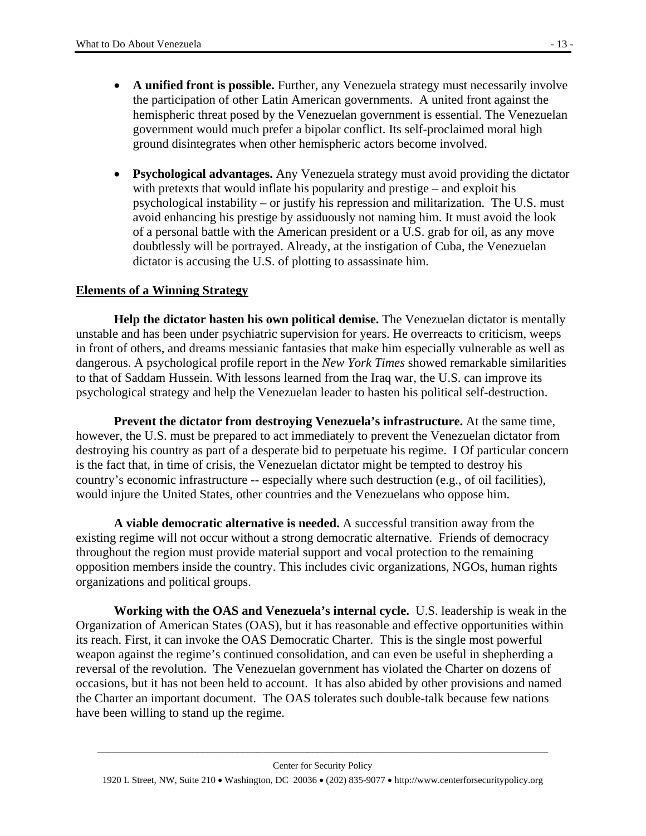- **A unified front is possible.** Further, any Venezuela strategy must necessarily involve the participation of other Latin American governments. A united front against the hemispheric threat posed by the Venezuelan government is essential. The Venezuelan government would much prefer a bipolar conflict. Its self-proclaimed moral high ground disintegrates when other hemispheric actors become involved.
- **Psychological advantages.** Any Venezuela strategy must avoid providing the dictator with pretexts that would inflate his popularity and prestige – and exploit his psychological instability – or justify his repression and militarization. The U.S. must avoid enhancing his prestige by assiduously not naming him. It must avoid the look of a personal battle with the American president or a U.S. grab for oil, as any move doubtlessly will be portrayed. Already, at the instigation of Cuba, the Venezuelan dictator is accusing the U.S. of plotting to assassinate him.

#### **Elements of a Winning Strategy**

**Help the dictator hasten his own political demise.** The Venezuelan dictator is mentally unstable and has been under psychiatric supervision for years. He overreacts to criticism, weeps in front of others, and dreams messianic fantasies that make him especially vulnerable as well as dangerous. A psychological profile report in the *New York Times* showed remarkable similarities to that of Saddam Hussein. With lessons learned from the Iraq war, the U.S. can improve its psychological strategy and help the Venezuelan leader to hasten his political self-destruction.

**Prevent the dictator from destroying Venezuela's infrastructure.** At the same time, however, the U.S. must be prepared to act immediately to prevent the Venezuelan dictator from destroying his country as part of a desperate bid to perpetuate his regime. I Of particular concern is the fact that, in time of crisis, the Venezuelan dictator might be tempted to destroy his country's economic infrastructure -- especially where such destruction (e.g., of oil facilities), would injure the United States, other countries and the Venezuelans who oppose him.

**A viable democratic alternative is needed.** A successful transition away from the existing regime will not occur without a strong democratic alternative. Friends of democracy throughout the region must provide material support and vocal protection to the remaining opposition members inside the country. This includes civic organizations, NGOs, human rights organizations and political groups.

**Working with the OAS and Venezuela's internal cycle.** U.S. leadership is weak in the Organization of American States (OAS), but it has reasonable and effective opportunities within its reach. First, it can invoke the OAS Democratic Charter. This is the single most powerful weapon against the regime's continued consolidation, and can even be useful in shepherding a reversal of the revolution. The Venezuelan government has violated the Charter on dozens of occasions, but it has not been held to account. It has also abided by other provisions and named the Charter an important document. The OAS tolerates such double-talk because few nations have been willing to stand up the regime.